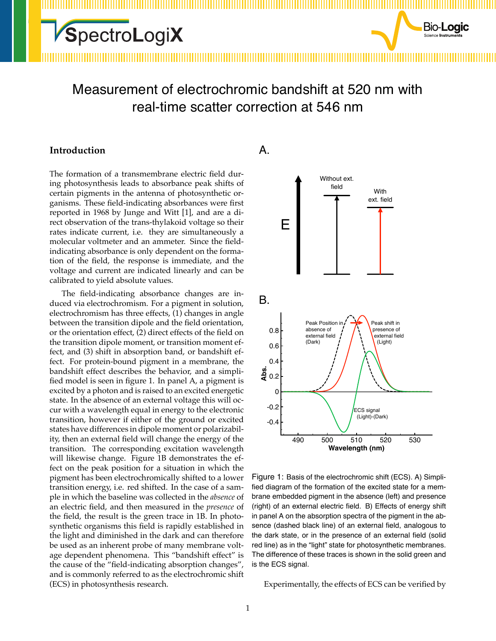### Measurement of electrochromic bandshift at 520 nm with real-time scatter correction at 546 nm

#### **Introduction**

The formation of a transmembrane electric field during photosynthesis leads to absorbance peak shifts of certain pigments in the antenna of photosynthetic organisms. These field-indicating absorbances were first reported in 1968 by Junge and Witt [\[1](#page-3-0)], and are a direct observation of the trans-thylakoid voltage so their rates indicate current, i.e. they are simultaneously a molecular voltmeter and an ammeter. Since the fieldindicating absorbance is only dependent on the formation of the field, the response is immediate, and the voltage and current are indicated linearly and can be calibrated to yield absolute values.

The field-indicating absorbance changes are induced via electrochromism. For a pigment in solution, electrochromism has three effects, (1) changes in angle between the transition dipole and the field orientation, or the orientation effect, (2) direct effects of the field on the transition dipole moment, or transition moment effect, and (3) shift in absorption band, or bandshift effect. For protein-bound pigment in a membrane, the bandshift effect describes the behavior, and a simplified model is seen in figure [1](#page-0-0). In panel A, a pigment is excited by a photon and is raised to an excited energetic state. In the absence of an external voltage this will occur with a wavelength equal in energy to the electronic transition, however if either of the ground or excited states have differences in dipole moment or polarizability, then an external field will change the energy of the transition. The corresponding excitation wavelength will likewise change. Figure [1](#page-0-0)B demonstrates the effect on the peak position for a situation in which the pigment has been electrochromically shifted to a lower transition energy, i.e. red shifted. In the case of a sample in which the baseline was collected in the *absence* of an electric field, and then measured in the *presence* of the field, the result is the green trace in [1](#page-0-0)B. In photosynthetic organisms this field is rapidly established in the light and diminished in the dark and can therefore be used as an inherent probe of many membrane voltage dependent phenomena. This "bandshift effect" is the cause of the "field-indicating absorption changes", and is commonly referred to as the electrochromic shift (ECS) in photosynthesis research.



**Bio-Logic** 

<span id="page-0-0"></span>Figure 1: Basis of the electrochromic shift (ECS). A) Simplified diagram of the formation of the excited state for a membrane embedded pigment in the absence (left) and presence (right) of an external electric field. B) Effects of energy shift in panel A on the absorption spectra of the pigment in the absence (dashed black line) of an external field, analogous to the dark state, or in the presence of an external field (solid red line) as in the "light" state for photosynthetic membranes. The difference of these traces is shown in the solid green and is the ECS signal.

Experimentally, the effects of ECS can be verified by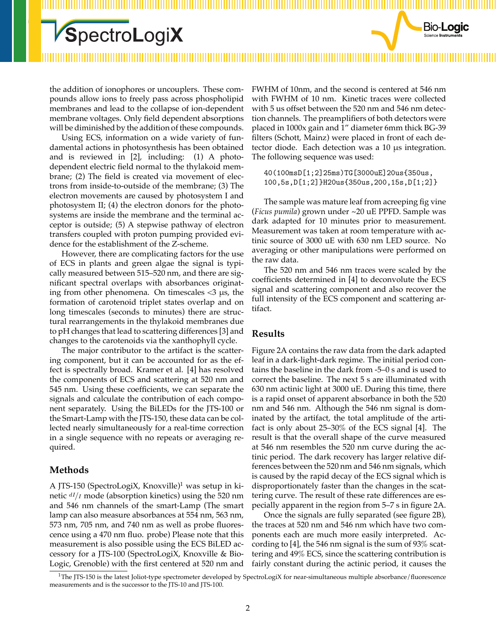the addition of ionophores or uncouplers. These compounds allow ions to freely pass across phospholipid membranes and lead to the collapse of ion-dependent membrane voltages. Only field dependent absorptions will be diminished by the addition of these compounds.

Using ECS, information on a wide variety of fundamental actions in photosynthesis has been obtained and is reviewed in[[2\]](#page-3-1), including: (1) A photodependent electric field normal to the thylakoid membrane; (2) The field is created via movement of electrons from inside-to-outside of the membrane; (3) The electron movements are caused by photosystem I and photosystem II; (4) the electron donors for the photosystems are inside the membrane and the terminal acceptor is outside; (5) A stepwise pathway of electron transfers coupled with proton pumping provided evidence for the establishment of the Z-scheme.

However, there are complicating factors for the use of ECS in plants and green algae the signal is typically measured between 515–520 nm, and there are significant spectral overlaps with absorbances originating from other phenomena. On timescales  $\lt3$   $\mu$ s, the formation of carotenoid triplet states overlap and on long timescales (seconds to minutes) there are structural rearrangements in the thylakoid membranes due to pH changes that lead to scattering differences[[3\]](#page-3-2) and changes to the carotenoids via the xanthophyll cycle.

The major contributor to the artifact is the scattering component, but it can be accounted for as the effect is spectrally broad. Kramer et al. [\[4](#page-3-3)] has resolved the components of ECS and scattering at 520 nm and 545 nm. Using these coefficients, we can separate the signals and calculate the contribution of each component separately. Using the BiLEDs for the JTS-100 or the Smart-Lamp with the JTS-150, these data can be collected nearly simultaneously for a real-time correction in a single sequence with no repeats or averaging required.

#### **Methods**

A JTS-[1](#page-1-0)50 (SpectroLogiX, Knoxville)<sup>1</sup> was setup in kinetic *dI*/*<sup>I</sup>* mode (absorption kinetics) using the 520 nm and 546 nm channels of the smart-Lamp (The smart lamp can also measure absorbances at 554 nm, 563 nm, 573 nm, 705 nm, and 740 nm as well as probe fluorescence using a 470 nm fluo. probe) Please note that this measurement is also possible using the ECS BiLED accessory for a JTS-100 (SpectroLogiX, Knoxville & Bio-Logic, Grenoble) with the first centered at 520 nm and FWHM of 10nm, and the second is centered at 546 nm with FWHM of 10 nm. Kinetic traces were collected with 5 us offset between the 520 nm and 546 nm detection channels. The preamplifiers of both detectors were placed in 1000x gain and 1" diameter 6mm thick BG-39 filters (Schott, Mainz) were placed in front of each detector diode. Each detection was a 10 μs integration. The following sequence was used:

Bio-**Logic** 

40(100msD[1;2]25ms)TG[3000uE]20us{350us, 100,5s,D[1;2]}H20us{350us,200,15s,D[1;2]}

The sample was mature leaf from acreeping fig vine (*Ficus pumila*) grown under ~20 uE PPFD. Sample was dark adapted for 10 minutes prior to measurement. Measurement was taken at room temperature with actinic source of 3000 uE with 630 nm LED source. No averaging or other manipulations were performed on the raw data.

The 520 nm and 546 nm traces were scaled by the coefficients determined in[[4\]](#page-3-3) to deconvolute the ECS signal and scattering component and also recover the full intensity of the ECS component and scattering artifact.

#### **Results**

Figure [2A](#page-2-0) contains the raw data from the dark adapted leaf in a dark-light-dark regime. The initial period contains the baseline in the dark from -5–0 s and is used to correct the baseline. The next 5 s are illuminated with 630 nm actinic light at 3000 uE. During this time, there is a rapid onset of apparent absorbance in both the 520 nm and 546 nm. Although the 546 nm signal is dominated by the artifact, the total amplitude of the artifact is only about 25–30% of the ECS signal [\[4](#page-3-3)]. The result is that the overall shape of the curve measured at 546 nm resembles the 520 nm curve during the actinic period. The dark recovery has larger relative differences between the 520 nm and 546 nm signals, which is caused by the rapid decay of the ECS signal which is disproportionately faster than the changes in the scattering curve. The result of these rate differences are especially apparent in the region from 5–7 s in figure [2A](#page-2-0).

Once the signals are fully separated (see figure [2B](#page-2-0)), the traces at 520 nm and 546 nm which have two components each are much more easily interpreted. According to [\[4](#page-3-3)], the 546 nm signal is the sum of 93% scattering and 49% ECS, since the scattering contribution is fairly constant during the actinic period, it causes the

<span id="page-1-0"></span><sup>1</sup>The JTS-150 is the latest Joliot-type spectrometer developed by SpectroLogiX for near-simultaneous multiple absorbance/fluorescence measurements and is the successor to the JTS-10 and JTS-100.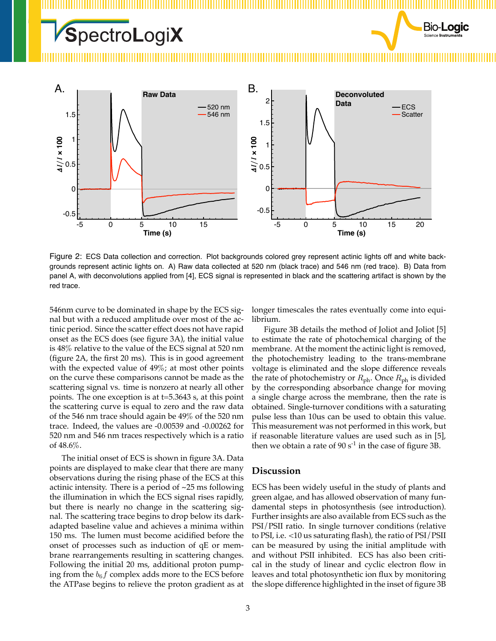



<span id="page-2-0"></span>Figure 2: ECS Data collection and correction. Plot backgrounds colored grey represent actinic lights off and white backgrounds represent actinic lights on. A) Raw data collected at 520 nm (black trace) and 546 nm (red trace). B) Data from panel A, with deconvolutions applied from [\[4](#page-3-3)], ECS signal is represented in black and the scattering artifact is shown by the red trace.

546nm curve to be dominated in shape by the ECS signal but with a reduced amplitude over most of the actinic period. Since the scatter effect does not have rapid onset as the ECS does (see figure [3](#page-3-4)A), the initial value is 48% relative to the value of the ECS signal at 520 nm (figure [2A](#page-2-0), the first 20 ms). This is in good agreement with the expected value of 49%; at most other points on the curve these comparisons cannot be made as the scattering signal vs. time is nonzero at nearly all other points. The one exception is at t=5.3643 s, at this point the scattering curve is equal to zero and the raw data of the 546 nm trace should again be 49% of the 520 nm trace. Indeed, the values are -0.00539 and -0.00262 for 520 nm and 546 nm traces respectively which is a ratio of 48.6%.

The initial onset of ECS is shown in figure [3](#page-3-4)A. Data points are displayed to make clear that there are many observations during the rising phase of the ECS at this actinic intensity. There is a period of  $\sim$ 25 ms following the illumination in which the ECS signal rises rapidly, but there is nearly no change in the scattering signal. The scattering trace begins to drop below its darkadapted baseline value and achieves a minima within 150 ms. The lumen must become acidified before the onset of processes such as induction of qE or membrane rearrangements resulting in scattering changes. Following the initial 20 ms, additional proton pumping from the  $b_6f$  complex adds more to the ECS before the ATPase begins to relieve the proton gradient as at longer timescales the rates eventually come into equilibrium.

Figure [3](#page-3-4)B details the method of Joliot and Joliot[[5](#page-3-5)] to estimate the rate of photochemical charging of the membrane. At the moment the actinic light is removed, the photochemistry leading to the trans-membrane voltage is eliminated and the slope difference reveals the rate of photochemistry or  $R_{ph}$ . Once  $R_{ph}$  is divided by the corresponding absorbance change for moving a single charge across the membrane, then the rate is obtained. Single-turnover conditions with a saturating pulse less than 10us can be used to obtain this value. This measurement was not performed in this work, but if reasonable literature values are used such as in [\[5\]](#page-3-5), then we obtain a rate of  $90 s<sup>-1</sup>$  in the case of figure [3B](#page-3-4).

#### **Discussion**

ECS has been widely useful in the study of plants and green algae, and has allowed observation of many fundamental steps in photosynthesis (see introduction). Further insights are also available from ECS such as the PSI/PSII ratio. In single turnover conditions (relative to PSI, i.e. <10 us saturating flash), the ratio of PSI/PSII can be measured by using the initial amplitude with and without PSII inhibited. ECS has also been critical in the study of linear and cyclic electron flow in leaves and total photosynthetic ion flux by monitoring the slope difference highlighted in the inset of figure [3B](#page-3-4)